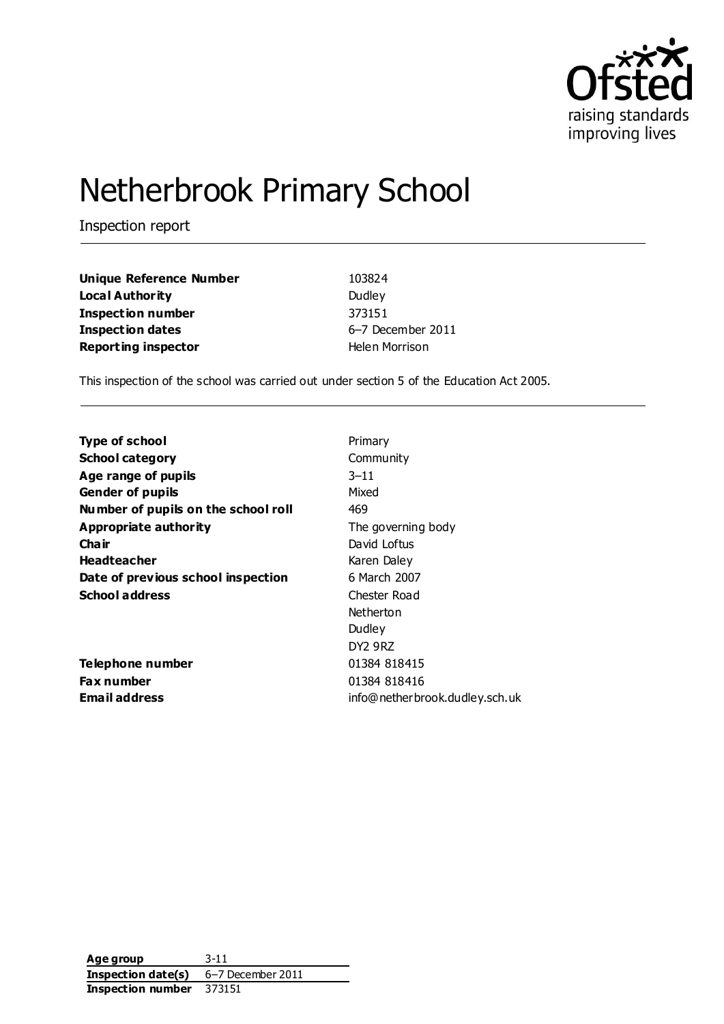

# Netherbrook Primary School

Inspection report

| <b>Unique Reference Number</b> | 103824            |
|--------------------------------|-------------------|
| Local Authority                | Dudley            |
| Inspection number              | 373151            |
| Inspection dates               | 6-7 December 2011 |
| <b>Reporting inspector</b>     | Helen Morrison    |

This inspection of the school was carried out under section 5 of the Education Act 2005.

| <b>Type of school</b>               | Primary                        |
|-------------------------------------|--------------------------------|
| <b>School category</b>              | Community                      |
| Age range of pupils                 | $3 - 11$                       |
| <b>Gender of pupils</b>             | Mixed                          |
| Number of pupils on the school roll | 469                            |
| Appropriate authority               | The governing body             |
| Cha ir                              | David Loftus                   |
| <b>Headteacher</b>                  | Karen Daley                    |
| Date of previous school inspection  | 6 March 2007                   |
| <b>School address</b>               | Chester Road                   |
|                                     | Netherton                      |
|                                     | Dudley                         |
|                                     | DY2 9RZ                        |
| Telephone number                    | 01384 818415                   |
| Fax number                          | 01384 818416                   |
| Email address                       | info@netherbrook.dudley.sch.uk |

**Age group** 3-11 **Inspection date(s)** 6–7 December 2011 **Inspection number** 373151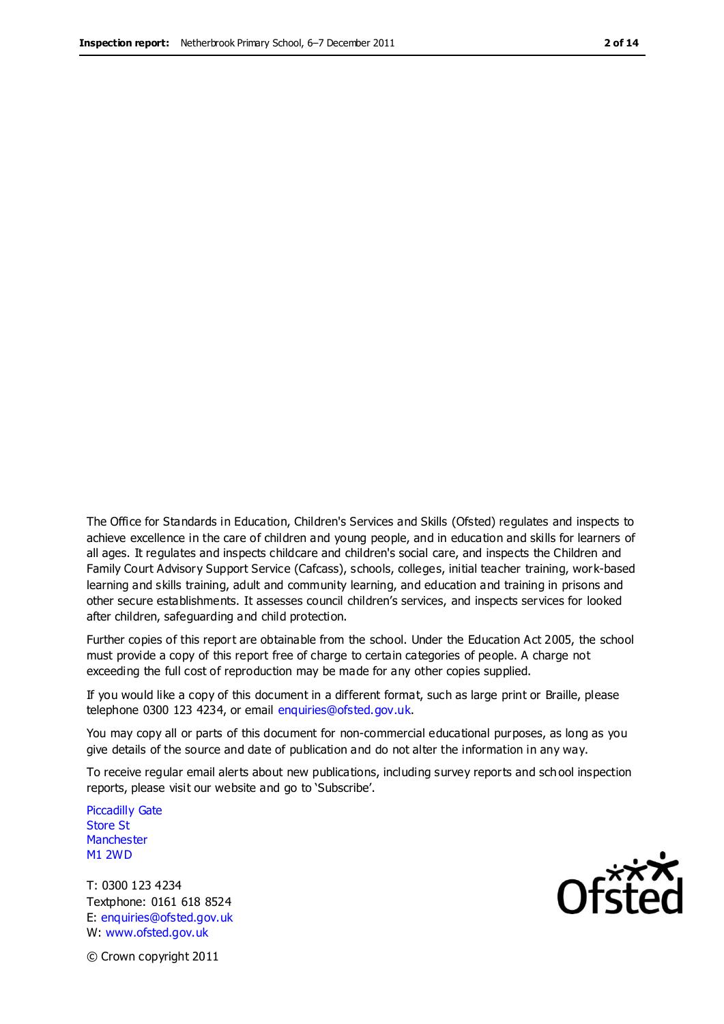The Office for Standards in Education, Children's Services and Skills (Ofsted) regulates and inspects to achieve excellence in the care of children and young people, and in education and skills for learners of all ages. It regulates and inspects childcare and children's social care, and inspects the Children and Family Court Advisory Support Service (Cafcass), schools, colleges, initial teacher training, work-based learning and skills training, adult and community learning, and education and training in prisons and other secure establishments. It assesses council children's services, and inspects services for looked after children, safeguarding and child protection.

Further copies of this report are obtainable from the school. Under the Education Act 2005, the school must provide a copy of this report free of charge to certain categories of people. A charge not exceeding the full cost of reproduction may be made for any other copies supplied.

If you would like a copy of this document in a different format, such as large print or Braille, please telephone 0300 123 4234, or email enquiries@ofsted.gov.uk.

You may copy all or parts of this document for non-commercial educational purposes, as long as you give details of the source and date of publication and do not alter the information in any way.

To receive regular email alerts about new publications, including survey reports and sch ool inspection reports, please visit our website and go to 'Subscribe'.

Piccadilly Gate Store St **Manchester** M1 2WD

T: 0300 123 4234 Textphone: 0161 618 8524 E: enquiries@ofsted.gov.uk W: www.ofsted.gov.uk

**Ofsted** 

© Crown copyright 2011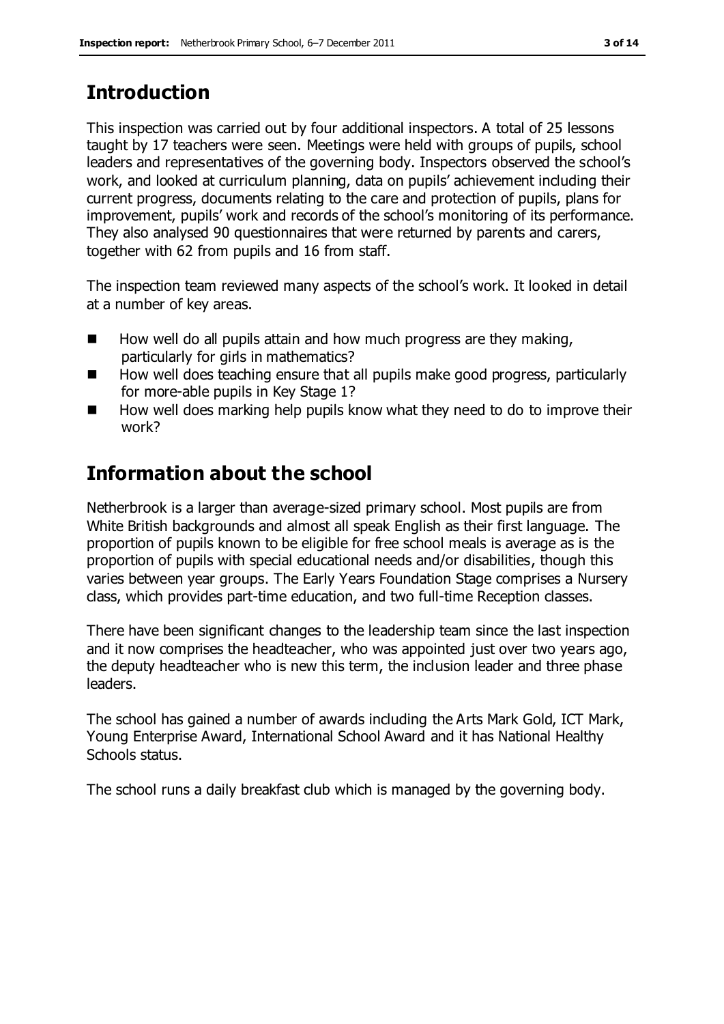## **Introduction**

This inspection was carried out by four additional inspectors. A total of 25 lessons taught by 17 teachers were seen. Meetings were held with groups of pupils, school leaders and representatives of the governing body. Inspectors observed the school's work, and looked at curriculum planning, data on pupils' achievement including their current progress, documents relating to the care and protection of pupils, plans for improvement, pupils' work and records of the school's monitoring of its performance. They also analysed 90 questionnaires that were returned by parents and carers, together with 62 from pupils and 16 from staff.

The inspection team reviewed many aspects of the school's work. It looked in detail at a number of key areas.

- $\blacksquare$  How well do all pupils attain and how much progress are they making, particularly for girls in mathematics?
- $\blacksquare$  How well does teaching ensure that all pupils make good progress, particularly for more-able pupils in Key Stage 1?
- How well does marking help pupils know what they need to do to improve their work?

# **Information about the school**

Netherbrook is a larger than average-sized primary school. Most pupils are from White British backgrounds and almost all speak English as their first language. The proportion of pupils known to be eligible for free school meals is average as is the proportion of pupils with special educational needs and/or disabilities, though this varies between year groups. The Early Years Foundation Stage comprises a Nursery class, which provides part-time education, and two full-time Reception classes.

There have been significant changes to the leadership team since the last inspection and it now comprises the headteacher, who was appointed just over two years ago, the deputy headteacher who is new this term, the inclusion leader and three phase leaders.

The school has gained a number of awards including the Arts Mark Gold, ICT Mark, Young Enterprise Award, International School Award and it has National Healthy Schools status.

The school runs a daily breakfast club which is managed by the governing body.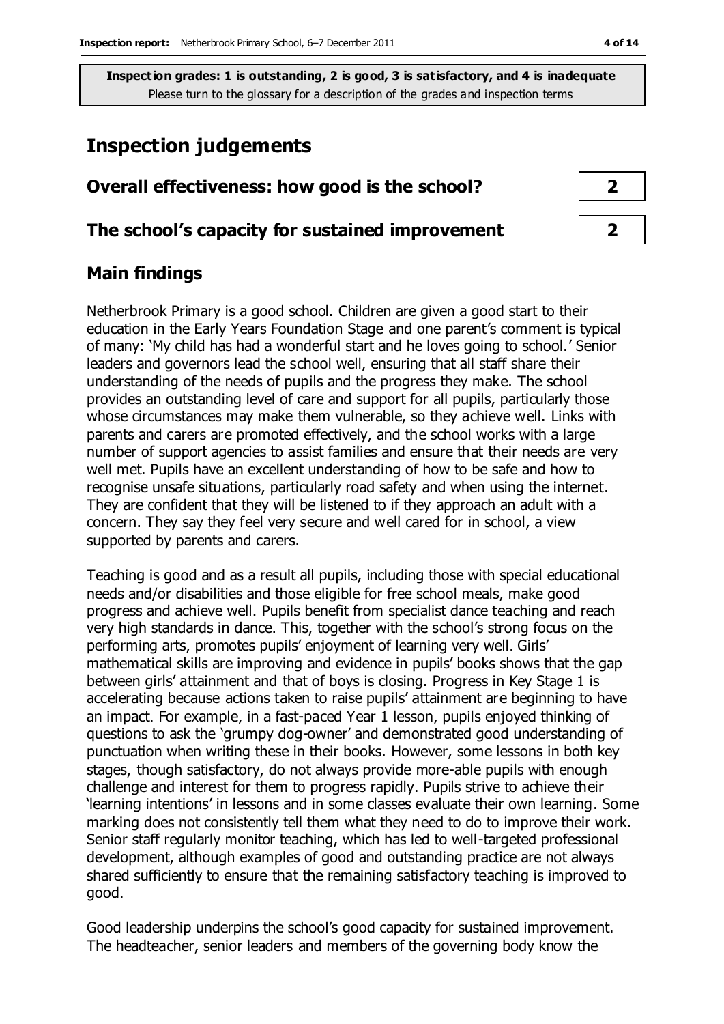## **Inspection judgements**

# **Overall effectiveness: how good is the school? 2**

#### **The school's capacity for sustained improvement 2**

#### **Main findings**

Netherbrook Primary is a good school. Children are given a good start to their education in the Early Years Foundation Stage and one parent's comment is typical of many: 'My child has had a wonderful start and he loves going to school.' Senior leaders and governors lead the school well, ensuring that all staff share their understanding of the needs of pupils and the progress they make. The school provides an outstanding level of care and support for all pupils, particularly those whose circumstances may make them vulnerable, so they achieve well. Links with parents and carers are promoted effectively, and the school works with a large number of support agencies to assist families and ensure that their needs are very well met. Pupils have an excellent understanding of how to be safe and how to recognise unsafe situations, particularly road safety and when using the internet. They are confident that they will be listened to if they approach an adult with a concern. They say they feel very secure and well cared for in school, a view supported by parents and carers.

Teaching is good and as a result all pupils, including those with special educational needs and/or disabilities and those eligible for free school meals, make good progress and achieve well. Pupils benefit from specialist dance teaching and reach very high standards in dance. This, together with the school's strong focus on the performing arts, promotes pupils' enjoyment of learning very well. Girls' mathematical skills are improving and evidence in pupils' books shows that the gap between girls' attainment and that of boys is closing. Progress in Key Stage 1 is accelerating because actions taken to raise pupils' attainment are beginning to have an impact. For example, in a fast-paced Year 1 lesson, pupils enjoyed thinking of questions to ask the 'grumpy dog-owner' and demonstrated good understanding of punctuation when writing these in their books. However, some lessons in both key stages, though satisfactory, do not always provide more-able pupils with enough challenge and interest for them to progress rapidly. Pupils strive to achieve their 'learning intentions' in lessons and in some classes evaluate their own learning. Some marking does not consistently tell them what they need to do to improve their work. Senior staff regularly monitor teaching, which has led to well-targeted professional development, although examples of good and outstanding practice are not always shared sufficiently to ensure that the remaining satisfactory teaching is improved to good.

Good leadership underpins the school's good capacity for sustained improvement. The headteacher, senior leaders and members of the governing body know the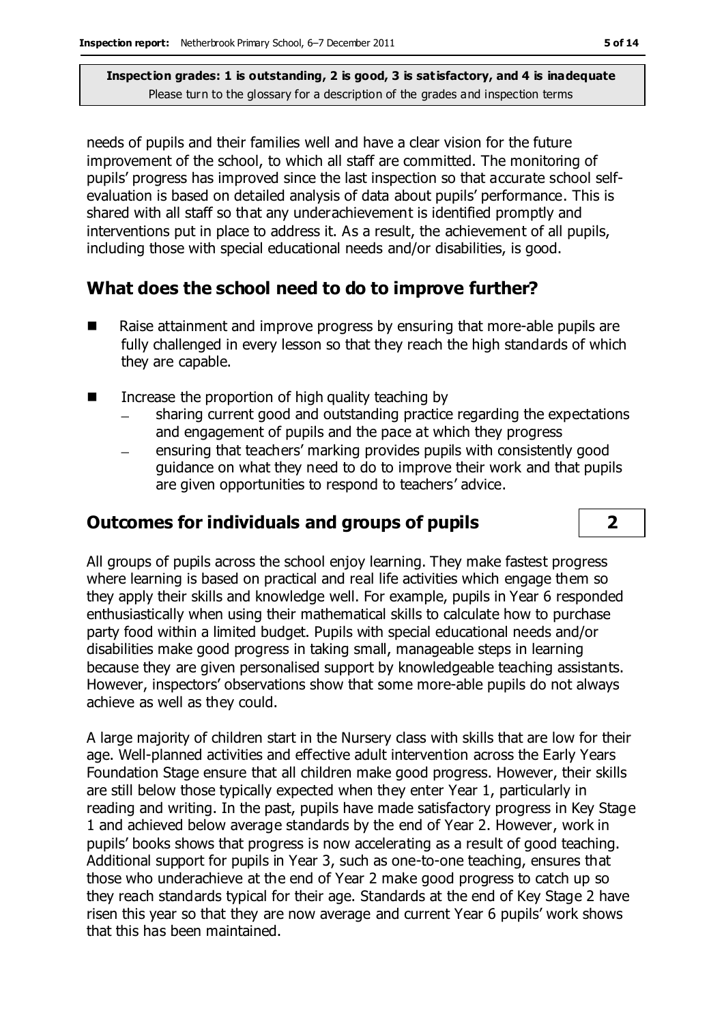needs of pupils and their families well and have a clear vision for the future improvement of the school, to which all staff are committed. The monitoring of pupils' progress has improved since the last inspection so that accurate school selfevaluation is based on detailed analysis of data about pupils' performance. This is shared with all staff so that any underachievement is identified promptly and interventions put in place to address it. As a result, the achievement of all pupils, including those with special educational needs and/or disabilities, is good.

## **What does the school need to do to improve further?**

- Raise attainment and improve progress by ensuring that more-able pupils are fully challenged in every lesson so that they reach the high standards of which they are capable.
- $\blacksquare$  Increase the proportion of high quality teaching by
	- sharing current good and outstanding practice regarding the expectations and engagement of pupils and the pace at which they progress
	- ensuring that teachers' marking provides pupils with consistently good guidance on what they need to do to improve their work and that pupils are given opportunities to respond to teachers' advice.

## **Outcomes for individuals and groups of pupils 2**

All groups of pupils across the school enjoy learning. They make fastest progress where learning is based on practical and real life activities which engage them so they apply their skills and knowledge well. For example, pupils in Year 6 responded enthusiastically when using their mathematical skills to calculate how to purchase party food within a limited budget. Pupils with special educational needs and/or disabilities make good progress in taking small, manageable steps in learning because they are given personalised support by knowledgeable teaching assistants. However, inspectors' observations show that some more-able pupils do not always achieve as well as they could.

A large majority of children start in the Nursery class with skills that are low for their age. Well-planned activities and effective adult intervention across the Early Years Foundation Stage ensure that all children make good progress. However, their skills are still below those typically expected when they enter Year 1, particularly in reading and writing. In the past, pupils have made satisfactory progress in Key Stage 1 and achieved below average standards by the end of Year 2. However, work in pupils' books shows that progress is now accelerating as a result of good teaching. Additional support for pupils in Year 3, such as one-to-one teaching, ensures that those who underachieve at the end of Year 2 make good progress to catch up so they reach standards typical for their age. Standards at the end of Key Stage 2 have risen this year so that they are now average and current Year 6 pupils' work shows that this has been maintained.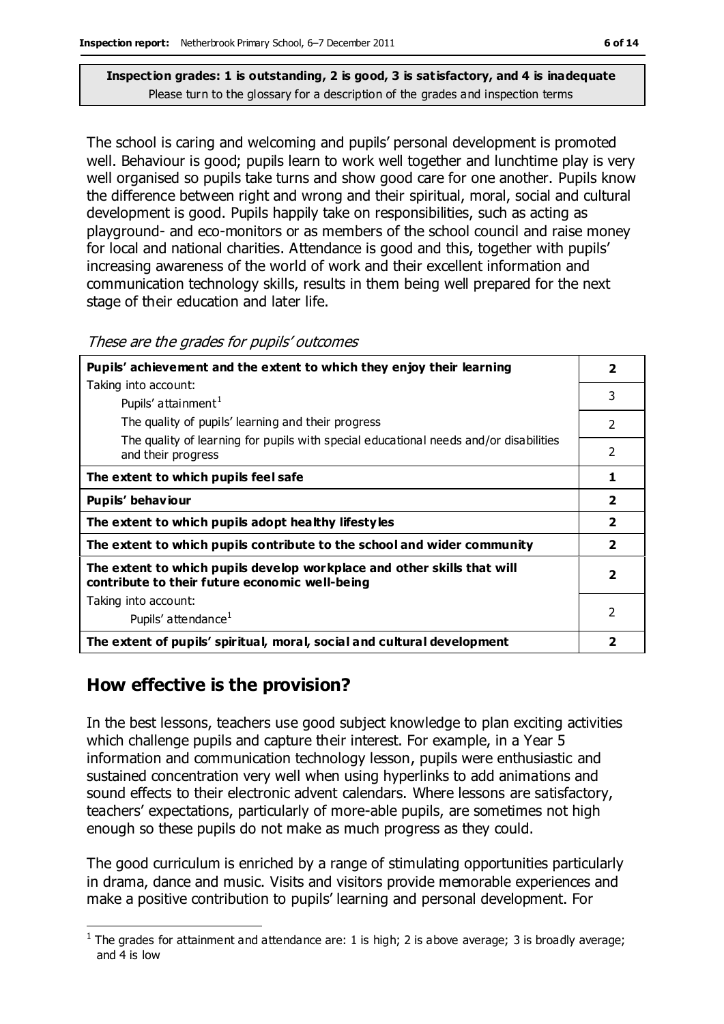The school is caring and welcoming and pupils' personal development is promoted well. Behaviour is good; pupils learn to work well together and lunchtime play is very well organised so pupils take turns and show good care for one another. Pupils know the difference between right and wrong and their spiritual, moral, social and cultural development is good. Pupils happily take on responsibilities, such as acting as playground- and eco-monitors or as members of the school council and raise money for local and national charities. Attendance is good and this, together with pupils' increasing awareness of the world of work and their excellent information and communication technology skills, results in them being well prepared for the next stage of their education and later life.

These are the grades for pupils' outcomes

| Pupils' achievement and the extent to which they enjoy their learning                                                     | $\overline{\mathbf{2}}$ |
|---------------------------------------------------------------------------------------------------------------------------|-------------------------|
| Taking into account:                                                                                                      |                         |
| Pupils' attainment <sup>1</sup>                                                                                           | 3                       |
| The quality of pupils' learning and their progress                                                                        | 2                       |
| The quality of learning for pupils with special educational needs and/or disabilities<br>and their progress               | $\overline{2}$          |
| The extent to which pupils feel safe                                                                                      | 1                       |
| Pupils' behaviour                                                                                                         | $\overline{2}$          |
| The extent to which pupils adopt healthy lifestyles                                                                       | $\overline{\mathbf{2}}$ |
| The extent to which pupils contribute to the school and wider community                                                   | $\overline{2}$          |
| The extent to which pupils develop workplace and other skills that will<br>contribute to their future economic well-being | $\overline{\mathbf{2}}$ |
| Taking into account:                                                                                                      |                         |
| Pupils' attendance <sup>1</sup>                                                                                           | $\mathfrak{p}$          |
| The extent of pupils' spiritual, moral, social and cultural development                                                   | 2                       |

## **How effective is the provision?**

In the best lessons, teachers use good subject knowledge to plan exciting activities which challenge pupils and capture their interest. For example, in a Year 5 information and communication technology lesson, pupils were enthusiastic and sustained concentration very well when using hyperlinks to add animations and sound effects to their electronic advent calendars. Where lessons are satisfactory, teachers' expectations, particularly of more-able pupils, are sometimes not high enough so these pupils do not make as much progress as they could.

The good curriculum is enriched by a range of stimulating opportunities particularly in drama, dance and music. Visits and visitors provide memorable experiences and make a positive contribution to pupils' learning and personal development. For

 $\overline{a}$ <sup>1</sup> The grades for attainment and attendance are: 1 is high; 2 is above average; 3 is broadly average; and 4 is low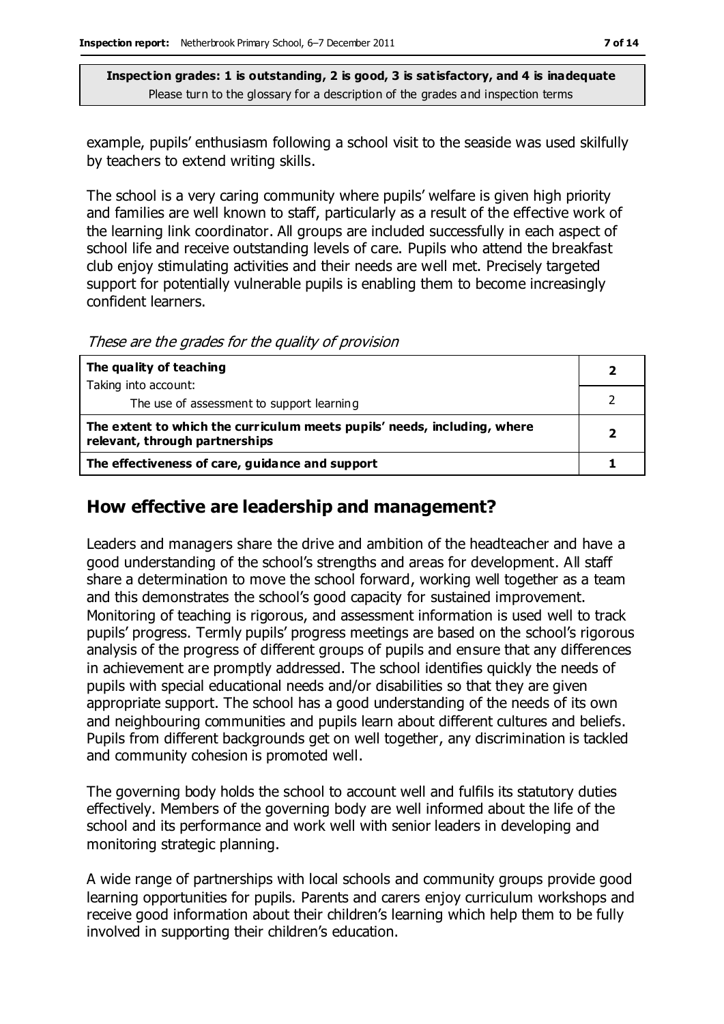example, pupils' enthusiasm following a school visit to the seaside was used skilfully by teachers to extend writing skills.

The school is a very caring community where pupils' welfare is given high priority and families are well known to staff, particularly as a result of the effective work of the learning link coordinator. All groups are included successfully in each aspect of school life and receive outstanding levels of care. Pupils who attend the breakfast club enjoy stimulating activities and their needs are well met. Precisely targeted support for potentially vulnerable pupils is enabling them to become increasingly confident learners.

These are the grades for the quality of provision

| The quality of teaching                                                                                    |  |
|------------------------------------------------------------------------------------------------------------|--|
| Taking into account:                                                                                       |  |
| The use of assessment to support learning                                                                  |  |
| The extent to which the curriculum meets pupils' needs, including, where<br>relevant, through partnerships |  |
| The effectiveness of care, guidance and support                                                            |  |

## **How effective are leadership and management?**

Leaders and managers share the drive and ambition of the headteacher and have a good understanding of the school's strengths and areas for development. All staff share a determination to move the school forward, working well together as a team and this demonstrates the school's good capacity for sustained improvement. Monitoring of teaching is rigorous, and assessment information is used well to track pupils' progress. Termly pupils' progress meetings are based on the school's rigorous analysis of the progress of different groups of pupils and ensure that any differences in achievement are promptly addressed. The school identifies quickly the needs of pupils with special educational needs and/or disabilities so that they are given appropriate support. The school has a good understanding of the needs of its own and neighbouring communities and pupils learn about different cultures and beliefs. Pupils from different backgrounds get on well together, any discrimination is tackled and community cohesion is promoted well.

The governing body holds the school to account well and fulfils its statutory duties effectively. Members of the governing body are well informed about the life of the school and its performance and work well with senior leaders in developing and monitoring strategic planning.

A wide range of partnerships with local schools and community groups provide good learning opportunities for pupils. Parents and carers enjoy curriculum workshops and receive good information about their children's learning which help them to be fully involved in supporting their children's education.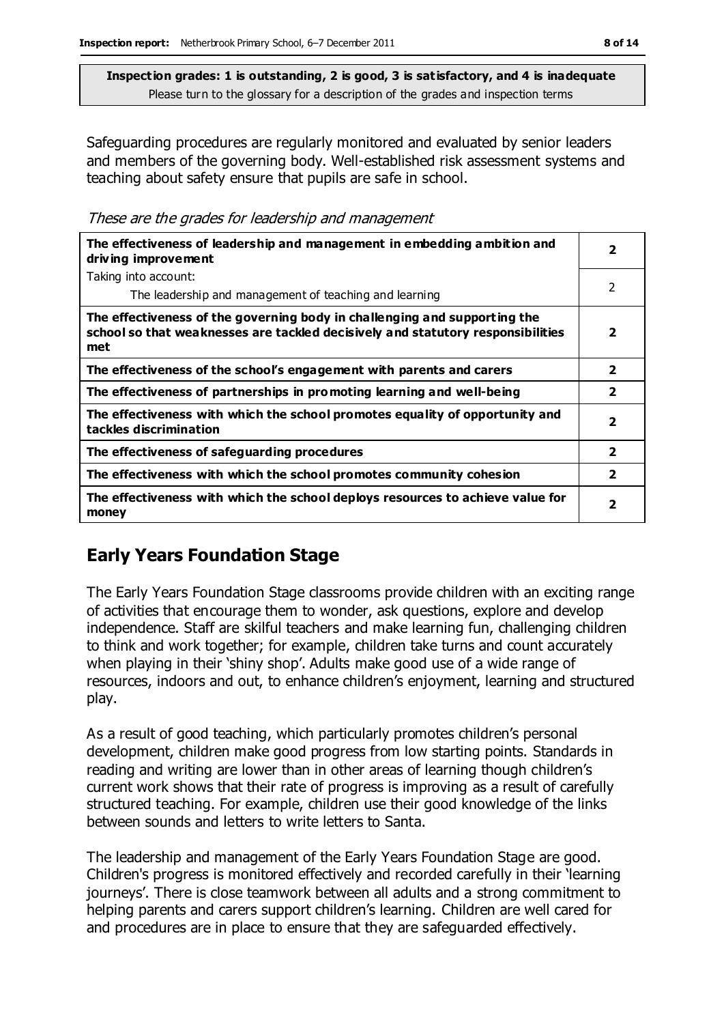Safeguarding procedures are regularly monitored and evaluated by senior leaders and members of the governing body. Well-established risk assessment systems and teaching about safety ensure that pupils are safe in school.

These are the grades for leadership and management

| The effectiveness of leadership and management in embedding ambition and<br>driving improvement                                                                     |                         |
|---------------------------------------------------------------------------------------------------------------------------------------------------------------------|-------------------------|
| Taking into account:                                                                                                                                                |                         |
| The leadership and management of teaching and learning                                                                                                              | 2                       |
| The effectiveness of the governing body in challenging and supporting the<br>school so that weaknesses are tackled decisively and statutory responsibilities<br>met | 2                       |
| The effectiveness of the school's engagement with parents and carers                                                                                                | $\overline{\mathbf{2}}$ |
| The effectiveness of partnerships in promoting learning and well-being                                                                                              | $\overline{\mathbf{2}}$ |
| The effectiveness with which the school promotes equality of opportunity and<br>tackles discrimination                                                              | 2                       |
| The effectiveness of safeguarding procedures                                                                                                                        | $\overline{\mathbf{2}}$ |
| The effectiveness with which the school promotes community cohesion                                                                                                 | $\overline{\mathbf{2}}$ |
| The effectiveness with which the school deploys resources to achieve value for<br>money                                                                             | $\overline{\mathbf{2}}$ |

## **Early Years Foundation Stage**

The Early Years Foundation Stage classrooms provide children with an exciting range of activities that encourage them to wonder, ask questions, explore and develop independence. Staff are skilful teachers and make learning fun, challenging children to think and work together; for example, children take turns and count accurately when playing in their 'shiny shop'. Adults make good use of a wide range of resources, indoors and out, to enhance children's enjoyment, learning and structured play.

As a result of good teaching, which particularly promotes children's personal development, children make good progress from low starting points. Standards in reading and writing are lower than in other areas of learning though children's current work shows that their rate of progress is improving as a result of carefully structured teaching. For example, children use their good knowledge of the links between sounds and letters to write letters to Santa.

The leadership and management of the Early Years Foundation Stage are good. Children's progress is monitored effectively and recorded carefully in their 'learning journeys'. There is close teamwork between all adults and a strong commitment to helping parents and carers support children's learning. Children are well cared for and procedures are in place to ensure that they are safeguarded effectively.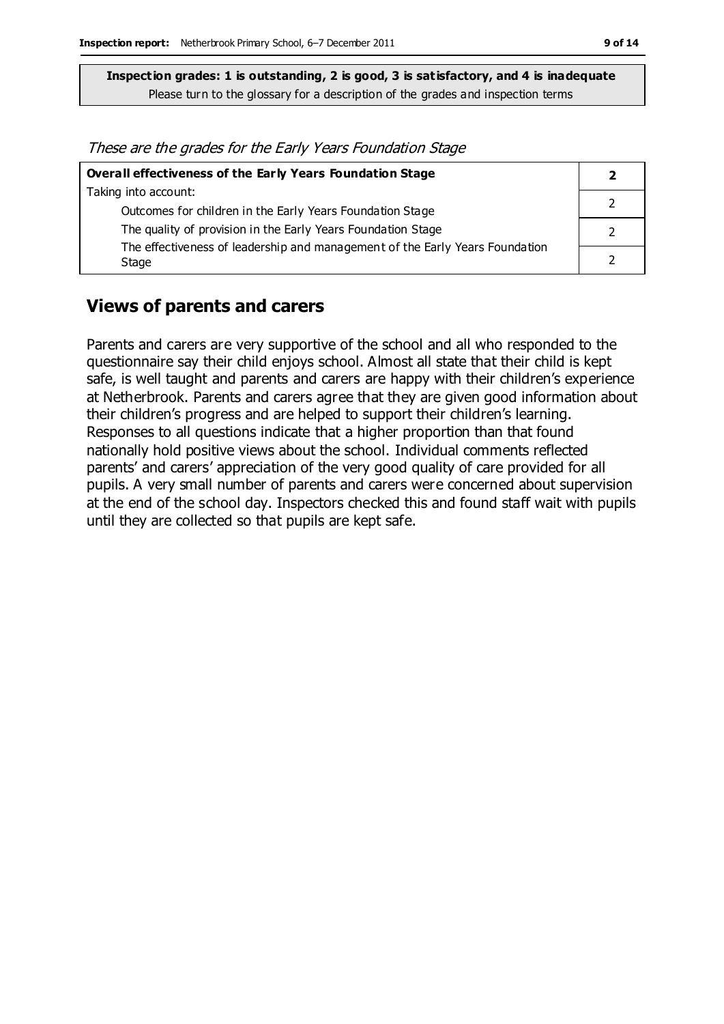These are the grades for the Early Years Foundation Stage

| Overall effectiveness of the Early Years Foundation Stage                    |  |
|------------------------------------------------------------------------------|--|
| Taking into account:                                                         |  |
| Outcomes for children in the Early Years Foundation Stage                    |  |
| The quality of provision in the Early Years Foundation Stage                 |  |
| The effectiveness of leadership and management of the Early Years Foundation |  |
| Stage                                                                        |  |

#### **Views of parents and carers**

Parents and carers are very supportive of the school and all who responded to the questionnaire say their child enjoys school. Almost all state that their child is kept safe, is well taught and parents and carers are happy with their children's experience at Netherbrook. Parents and carers agree that they are given good information about their children's progress and are helped to support their children's learning. Responses to all questions indicate that a higher proportion than that found nationally hold positive views about the school. Individual comments reflected parents' and carers' appreciation of the very good quality of care provided for all pupils. A very small number of parents and carers were concerned about supervision at the end of the school day. Inspectors checked this and found staff wait with pupils until they are collected so that pupils are kept safe.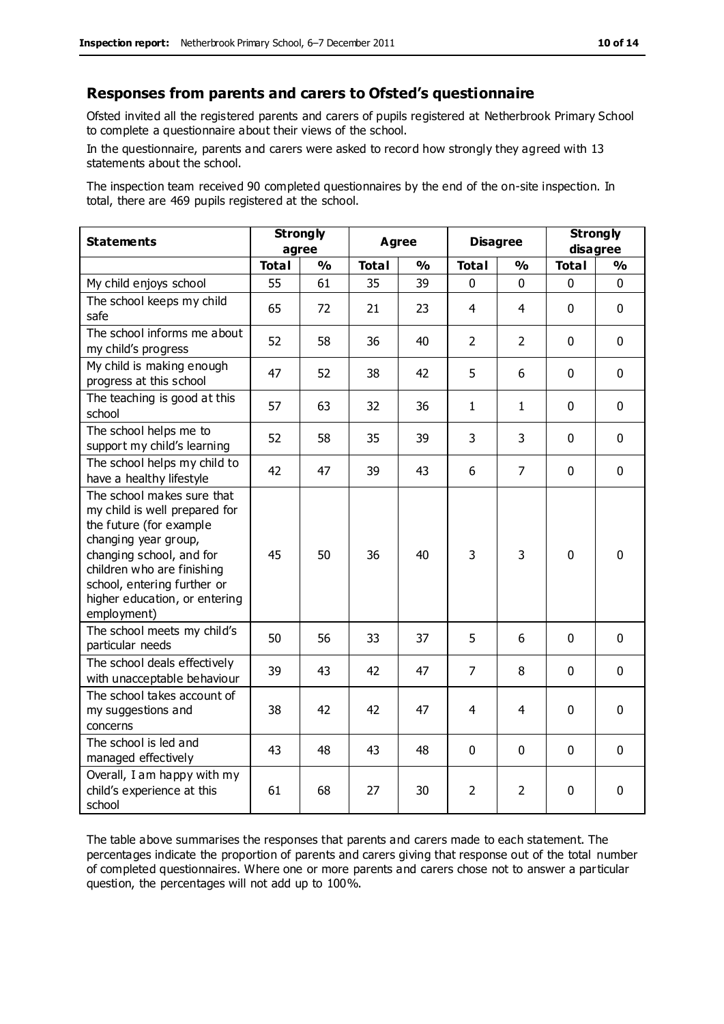#### **Responses from parents and carers to Ofsted's questionnaire**

Ofsted invited all the registered parents and carers of pupils registered at Netherbrook Primary School to complete a questionnaire about their views of the school.

In the questionnaire, parents and carers were asked to record how strongly they agreed with 13 statements about the school.

The inspection team received 90 completed questionnaires by the end of the on-site inspection. In total, there are 469 pupils registered at the school.

| <b>Statements</b>                                                                                                                                                                                                                                       | <b>Strongly</b><br>agree |               | Agree        |               | <b>Disagree</b> |                | <b>Strongly</b><br>disagree |              |
|---------------------------------------------------------------------------------------------------------------------------------------------------------------------------------------------------------------------------------------------------------|--------------------------|---------------|--------------|---------------|-----------------|----------------|-----------------------------|--------------|
|                                                                                                                                                                                                                                                         | <b>Total</b>             | $\frac{1}{2}$ | <b>Total</b> | $\frac{1}{2}$ | <b>Total</b>    | %              | <b>Total</b>                | %            |
| My child enjoys school                                                                                                                                                                                                                                  | 55                       | 61            | 35           | 39            | 0               | 0              | $\mathbf 0$                 | $\mathbf{0}$ |
| The school keeps my child<br>safe                                                                                                                                                                                                                       | 65                       | 72            | 21           | 23            | 4               | 4              | $\mathbf 0$                 | $\mathbf 0$  |
| The school informs me about<br>my child's progress                                                                                                                                                                                                      | 52                       | 58            | 36           | 40            | $\overline{2}$  | 2              | $\mathbf{0}$                | $\mathbf 0$  |
| My child is making enough<br>progress at this school                                                                                                                                                                                                    | 47                       | 52            | 38           | 42            | 5               | 6              | $\mathbf 0$                 | $\mathbf 0$  |
| The teaching is good at this<br>school                                                                                                                                                                                                                  | 57                       | 63            | 32           | 36            | $\mathbf{1}$    | 1              | $\mathbf 0$                 | $\mathbf 0$  |
| The school helps me to<br>support my child's learning                                                                                                                                                                                                   | 52                       | 58            | 35           | 39            | 3               | 3              | $\Omega$                    | $\mathbf 0$  |
| The school helps my child to<br>have a healthy lifestyle                                                                                                                                                                                                | 42                       | 47            | 39           | 43            | 6               | $\overline{7}$ | $\mathbf 0$                 | $\mathbf 0$  |
| The school makes sure that<br>my child is well prepared for<br>the future (for example<br>changing year group,<br>changing school, and for<br>children who are finishing<br>school, entering further or<br>higher education, or entering<br>employment) | 45                       | 50            | 36           | 40            | 3               | 3              | $\mathbf{0}$                | $\mathbf 0$  |
| The school meets my child's<br>particular needs                                                                                                                                                                                                         | 50                       | 56            | 33           | 37            | 5               | 6              | $\mathbf 0$                 | $\mathbf 0$  |
| The school deals effectively<br>with unacceptable behaviour                                                                                                                                                                                             | 39                       | 43            | 42           | 47            | $\overline{7}$  | 8              | $\mathbf 0$                 | $\mathbf 0$  |
| The school takes account of<br>my suggestions and<br>concerns                                                                                                                                                                                           | 38                       | 42            | 42           | 47            | $\overline{4}$  | 4              | $\mathbf 0$                 | $\mathbf 0$  |
| The school is led and<br>managed effectively                                                                                                                                                                                                            | 43                       | 48            | 43           | 48            | 0               | $\mathbf 0$    | $\mathbf{0}$                | $\mathbf 0$  |
| Overall, I am happy with my<br>child's experience at this<br>school                                                                                                                                                                                     | 61                       | 68            | 27           | 30            | $\overline{2}$  | 2              | $\mathbf 0$                 | $\mathbf 0$  |

The table above summarises the responses that parents and carers made to each statement. The percentages indicate the proportion of parents and carers giving that response out of the total number of completed questionnaires. Where one or more parents and carers chose not to answer a particular question, the percentages will not add up to 100%.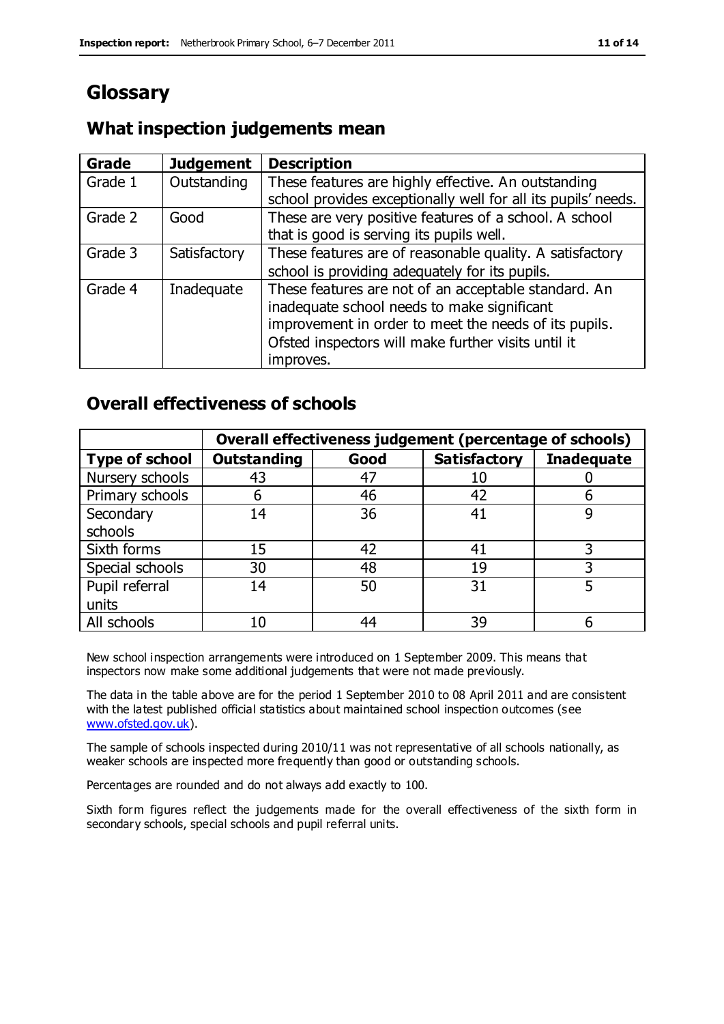# **Glossary**

## **What inspection judgements mean**

| Grade   | <b>Judgement</b> | <b>Description</b>                                            |
|---------|------------------|---------------------------------------------------------------|
| Grade 1 | Outstanding      | These features are highly effective. An outstanding           |
|         |                  | school provides exceptionally well for all its pupils' needs. |
| Grade 2 | Good             | These are very positive features of a school. A school        |
|         |                  | that is good is serving its pupils well.                      |
| Grade 3 | Satisfactory     | These features are of reasonable quality. A satisfactory      |
|         |                  | school is providing adequately for its pupils.                |
| Grade 4 | Inadequate       | These features are not of an acceptable standard. An          |
|         |                  | inadequate school needs to make significant                   |
|         |                  | improvement in order to meet the needs of its pupils.         |
|         |                  | Ofsted inspectors will make further visits until it           |
|         |                  | improves.                                                     |

## **Overall effectiveness of schools**

|                       |                    |      | Overall effectiveness judgement (percentage of schools) |                   |
|-----------------------|--------------------|------|---------------------------------------------------------|-------------------|
| <b>Type of school</b> | <b>Outstanding</b> | Good | <b>Satisfactory</b>                                     | <b>Inadequate</b> |
| Nursery schools       | 43                 | 47   | 10                                                      |                   |
| Primary schools       | h                  | 46   | 42                                                      |                   |
| Secondary             | 14                 | 36   | 41                                                      |                   |
| schools               |                    |      |                                                         |                   |
| Sixth forms           | 15                 | 42   | 41                                                      |                   |
| Special schools       | 30                 | 48   | 19                                                      |                   |
| Pupil referral        | 14                 | 50   | 31                                                      |                   |
| units                 |                    |      |                                                         |                   |
| All schools           | 10                 | 44   | 39                                                      |                   |

New school inspection arrangements were introduced on 1 September 2009. This means that inspectors now make some additional judgements that were not made previously.

The data in the table above are for the period 1 September 2010 to 08 April 2011 and are consistent with the latest published official statistics about maintained school inspection outcomes (see [www.ofsted.gov.uk\)](http://www.ofsted.gov.uk/).

The sample of schools inspected during 2010/11 was not representative of all schools nationally, as weaker schools are inspected more frequently than good or outstanding schools.

Percentages are rounded and do not always add exactly to 100.

Sixth form figures reflect the judgements made for the overall effectiveness of the sixth form in secondary schools, special schools and pupil referral units.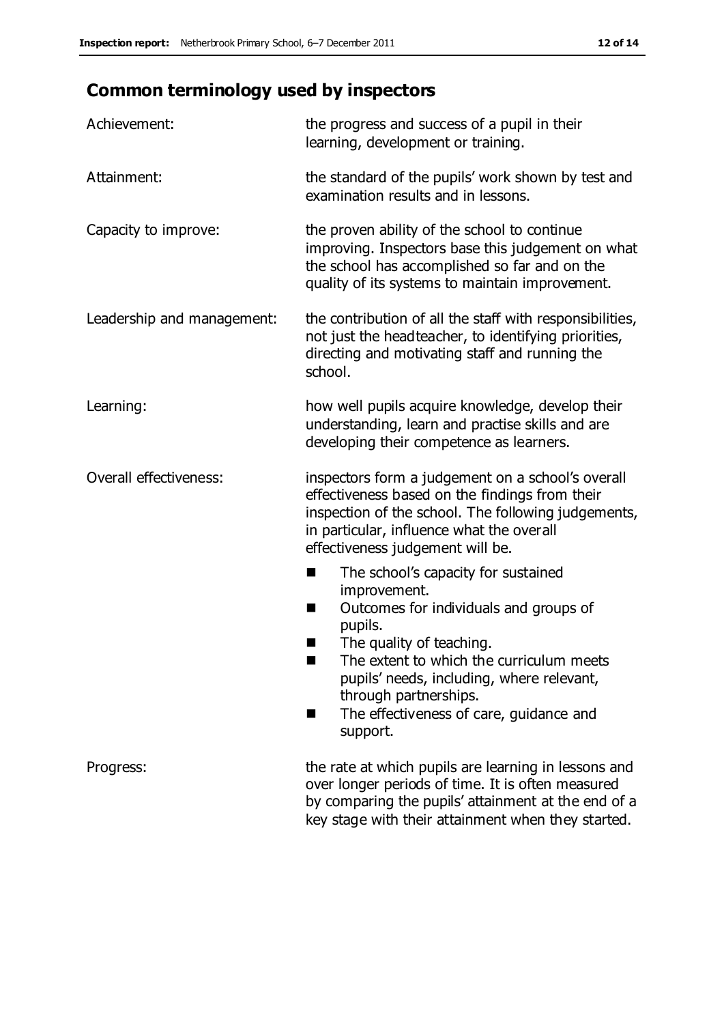# **Common terminology used by inspectors**

| Achievement:                  | the progress and success of a pupil in their<br>learning, development or training.                                                                                                                                                                                                                                           |
|-------------------------------|------------------------------------------------------------------------------------------------------------------------------------------------------------------------------------------------------------------------------------------------------------------------------------------------------------------------------|
| Attainment:                   | the standard of the pupils' work shown by test and<br>examination results and in lessons.                                                                                                                                                                                                                                    |
| Capacity to improve:          | the proven ability of the school to continue<br>improving. Inspectors base this judgement on what<br>the school has accomplished so far and on the<br>quality of its systems to maintain improvement.                                                                                                                        |
| Leadership and management:    | the contribution of all the staff with responsibilities,<br>not just the headteacher, to identifying priorities,<br>directing and motivating staff and running the<br>school.                                                                                                                                                |
| Learning:                     | how well pupils acquire knowledge, develop their<br>understanding, learn and practise skills and are<br>developing their competence as learners.                                                                                                                                                                             |
| <b>Overall effectiveness:</b> | inspectors form a judgement on a school's overall<br>effectiveness based on the findings from their<br>inspection of the school. The following judgements,<br>in particular, influence what the overall<br>effectiveness judgement will be.                                                                                  |
|                               | The school's capacity for sustained<br>×<br>improvement.<br>Outcomes for individuals and groups of<br>п<br>pupils.<br>The quality of teaching.<br>The extent to which the curriculum meets<br>pupils' needs, including, where relevant,<br>through partnerships.<br>The effectiveness of care, guidance and<br>■<br>support. |
| Progress:                     | the rate at which pupils are learning in lessons and<br>over longer periods of time. It is often measured<br>by comparing the pupils' attainment at the end of a<br>key stage with their attainment when they started.                                                                                                       |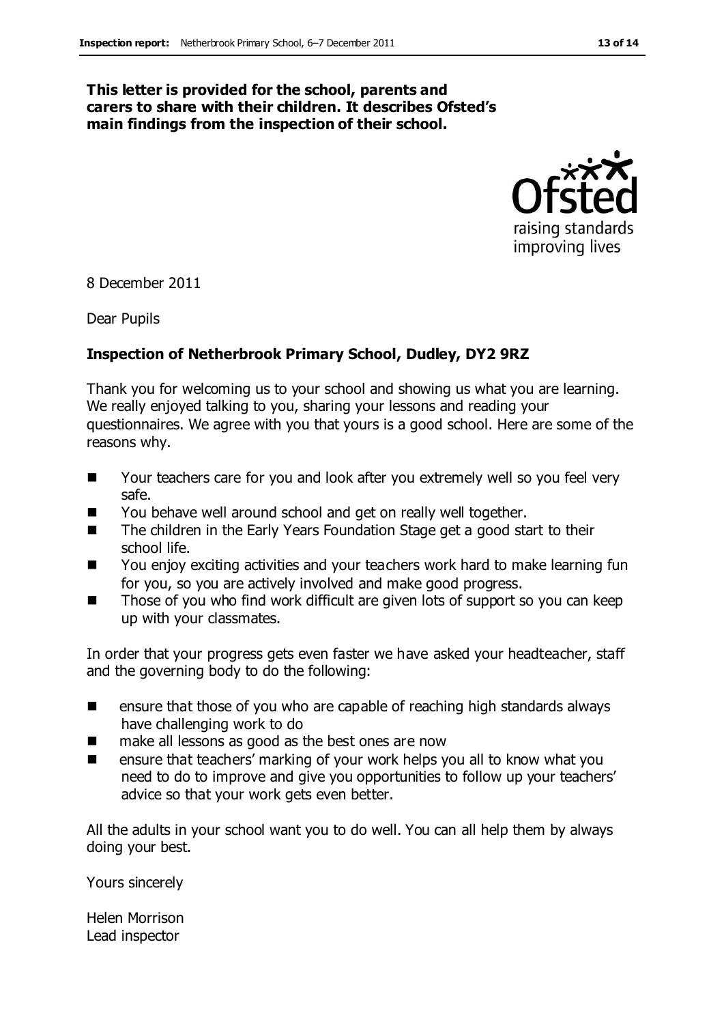#### **This letter is provided for the school, parents and carers to share with their children. It describes Ofsted's main findings from the inspection of their school.**



8 December 2011

Dear Pupils

#### **Inspection of Netherbrook Primary School, Dudley, DY2 9RZ**

Thank you for welcoming us to your school and showing us what you are learning. We really enjoyed talking to you, sharing your lessons and reading your questionnaires. We agree with you that yours is a good school. Here are some of the reasons why.

- Your teachers care for you and look after you extremely well so you feel very safe.
- You behave well around school and get on really well together.
- The children in the Early Years Foundation Stage get a good start to their school life.
- You enjoy exciting activities and your teachers work hard to make learning fun for you, so you are actively involved and make good progress.
- Those of you who find work difficult are given lots of support so you can keep up with your classmates.

In order that your progress gets even faster we have asked your headteacher, staff and the governing body to do the following:

- **EXECUTE:** ensure that those of you who are capable of reaching high standards always have challenging work to do
- make all lessons as good as the best ones are now
- ensure that teachers' marking of your work helps you all to know what you need to do to improve and give you opportunities to follow up your teachers' advice so that your work gets even better.

All the adults in your school want you to do well. You can all help them by always doing your best.

Yours sincerely

Helen Morrison Lead inspector